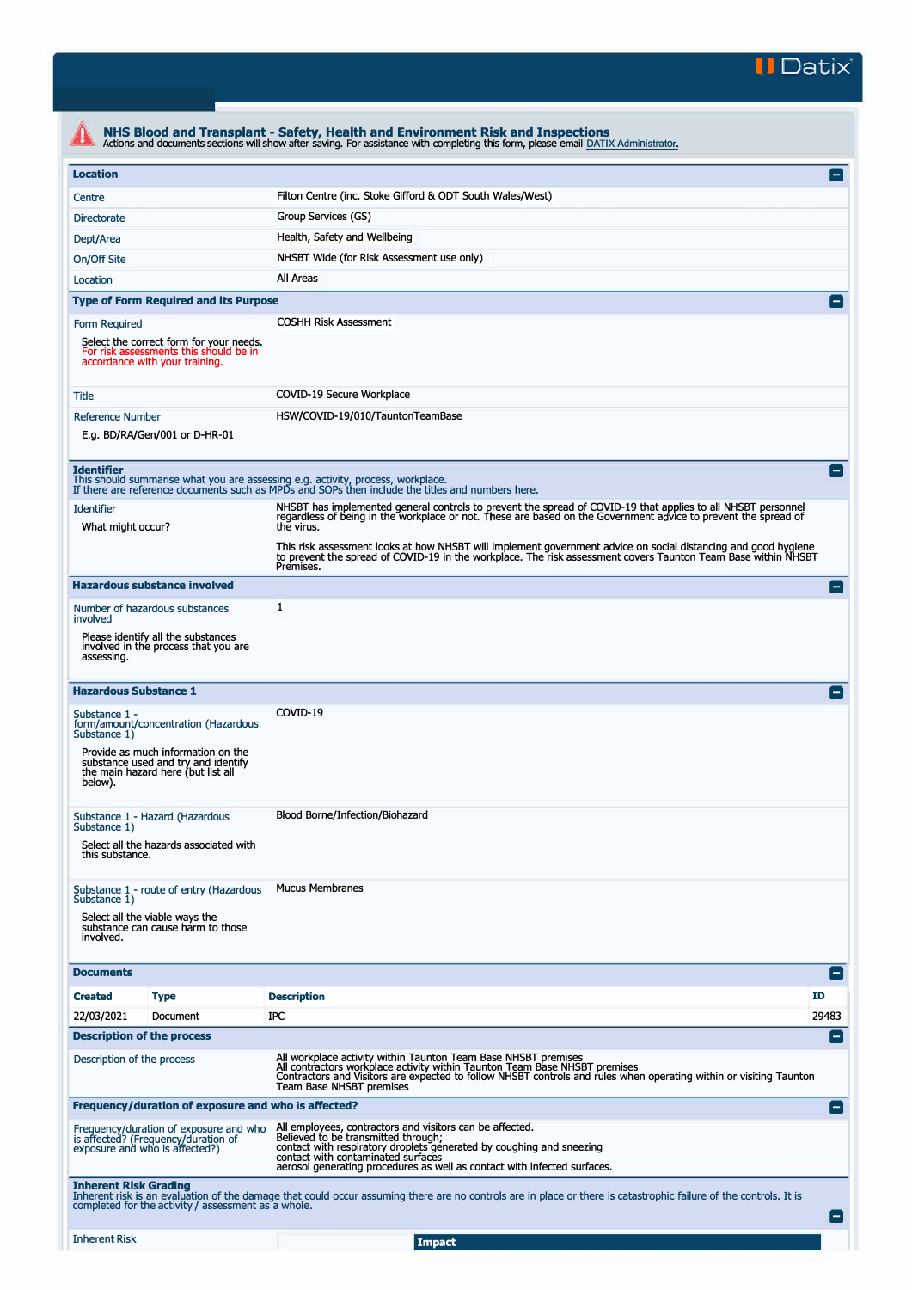

|                                                                                                                            | NHS Blood and Transplant - Safety, Health and Environment Risk and Inspections<br>Actions and documents sections will show after saving. For assistance with completing this form, please email DATIX Administrator.                                                                           |                |
|----------------------------------------------------------------------------------------------------------------------------|------------------------------------------------------------------------------------------------------------------------------------------------------------------------------------------------------------------------------------------------------------------------------------------------|----------------|
| <b>Location</b>                                                                                                            |                                                                                                                                                                                                                                                                                                | $\blacksquare$ |
| Centre                                                                                                                     | Filton Centre (inc. Stoke Gifford & ODT South Wales/West)                                                                                                                                                                                                                                      |                |
| <b>Directorate</b>                                                                                                         | Group Services (GS)                                                                                                                                                                                                                                                                            |                |
| Dept/Area                                                                                                                  | Health, Safety and Wellbeing                                                                                                                                                                                                                                                                   |                |
| On/Off Site                                                                                                                | NHSBT Wide (for Risk Assessment use only)                                                                                                                                                                                                                                                      |                |
| Location                                                                                                                   | All Areas                                                                                                                                                                                                                                                                                      |                |
| <b>Type of Form Required and its Purpose</b>                                                                               |                                                                                                                                                                                                                                                                                                |                |
| Form Required                                                                                                              | <b>COSHH Risk Assessment</b>                                                                                                                                                                                                                                                                   |                |
| Select the correct form for your needs.<br>For risk assessments this should be in<br>accordance with your training.        |                                                                                                                                                                                                                                                                                                |                |
| Title                                                                                                                      | COVID-19 Secure Workplace                                                                                                                                                                                                                                                                      |                |
| <b>Reference Number</b>                                                                                                    | HSW/COVID-19/010/TauntonTeamBase                                                                                                                                                                                                                                                               |                |
| E.g. BD/RA/Gen/001 or D-HR-01                                                                                              |                                                                                                                                                                                                                                                                                                |                |
| <b>Identifier</b><br>This should summarise what you are assessing e.g. activity, process, workplace.                       | If there are reference documents such as MPDs and SOPs then include the titles and numbers here.                                                                                                                                                                                               | $\overline{ }$ |
| <b>Identifier</b><br>What might occur?                                                                                     | NHSBT has implemented general controls to prevent the spread of COVID-19 that applies to all NHSBT personnel<br>regardless of being in the workplace or not. These are based on the Government advice to prevent the spread of<br>the virus.                                                   |                |
|                                                                                                                            | This risk assessment looks at how NHSBT will implement government advice on social distancing and good hygiene<br>to prevent the spread of COVID-19 in the workplace. The risk assessment covers Taunton Team Base within NHSBT<br>Premises.                                                   |                |
| <b>Hazardous substance involved</b>                                                                                        |                                                                                                                                                                                                                                                                                                | Е              |
| Number of hazardous substances<br>involved                                                                                 | 1                                                                                                                                                                                                                                                                                              |                |
| Please identify all the substances<br>involved in the process that you are<br>assessing.                                   |                                                                                                                                                                                                                                                                                                |                |
| <b>Hazardous Substance 1</b>                                                                                               |                                                                                                                                                                                                                                                                                                |                |
| Substance 1 -<br>form/amount/concentration (Hazardous<br>Substance 1)                                                      | COVID-19                                                                                                                                                                                                                                                                                       |                |
| Provide as much information on the<br>substance used and try and identify<br>the main hazard here (but list all<br>below). |                                                                                                                                                                                                                                                                                                |                |
| Substance 1 - Hazard (Hazardous<br>Substance 1)                                                                            | Blood Borne/Infection/Biohazard                                                                                                                                                                                                                                                                |                |
| Select all the hazards associated with<br>this substance.                                                                  |                                                                                                                                                                                                                                                                                                |                |
| Substance 1 - route of entry (Hazardous<br>Substance 1)                                                                    | <b>Mucus Membranes</b>                                                                                                                                                                                                                                                                         |                |
| Select all the viable ways the<br>substance can cause harm to those<br>involved.                                           |                                                                                                                                                                                                                                                                                                |                |
| <b>Documents</b>                                                                                                           |                                                                                                                                                                                                                                                                                                | EI             |
| <b>Created</b><br><b>Type</b>                                                                                              | <b>Description</b>                                                                                                                                                                                                                                                                             | <b>ID</b>      |
| 22/03/2021<br>Document                                                                                                     | IPC                                                                                                                                                                                                                                                                                            | 29483          |
| <b>Description of the process</b>                                                                                          |                                                                                                                                                                                                                                                                                                | -1             |
| Description of the process                                                                                                 | All workplace activity within Taunton Team Base NHSBT premises<br>All contractors workplace activity within Taunton Team Base NHSBT premises<br>Contractors and Visitors are expected to follow NHSBT controls and rules when operating within or visiting Taunton<br>Team Base NHSBT premises |                |
| Frequency/duration of exposure and who is affected?                                                                        |                                                                                                                                                                                                                                                                                                | $\blacksquare$ |
| Frequency/duration of exposure and who<br>is affected? (Frequency/duration of<br>exposure and who is affected?)            | All employees, contractors and visitors can be affected.<br>Believed to be transmitted through;<br>contact with respiratory droplets generated by coughing and sneezing<br>contact with contaminated surfaces<br>aerosol generating procedures as well as contact with infected surfaces.      |                |
| <b>Inherent Risk Grading</b><br>completed for the activity / assessment as a whole.                                        | Inherent risk is an evaluation of the damage that could occur assuming there are no controls are in place or there is catastrophic failure of the controls. It is                                                                                                                              |                |
| <b>Inherent Risk</b>                                                                                                       | <b>Impact</b>                                                                                                                                                                                                                                                                                  |                |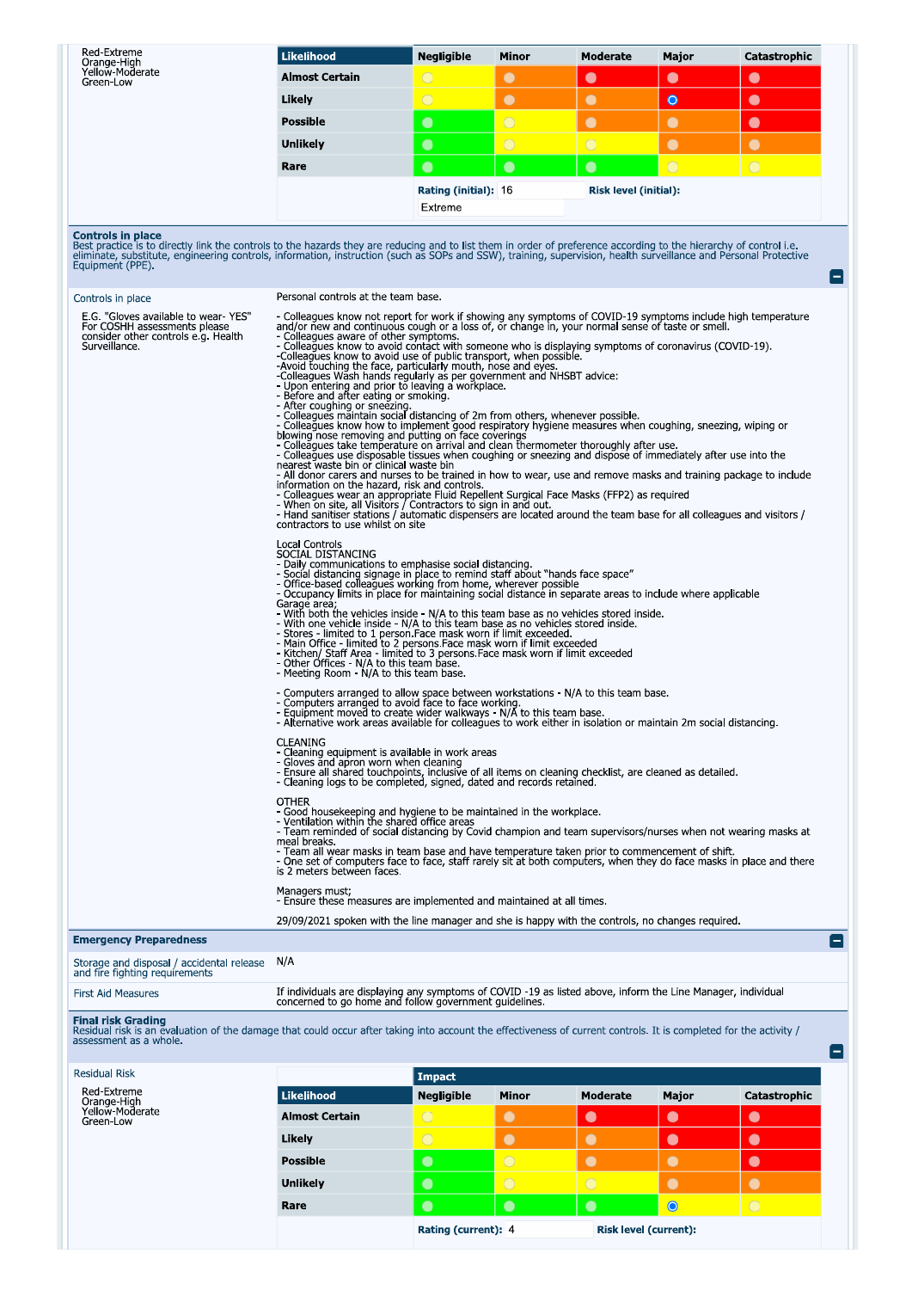| Red-Extreme<br>Orange-High<br>Yellow-Moderate<br>Green-Low                                                                                                                                                                                                                                                                                                                             | <b>Likelihood</b>                                                                                                                                                                                                                                                                                                                                                                                                                                                                                                                                                                                                                                                                                                                                                                                                                                                                                                                                                                                                                                                                                                                                                                                                                                                                                                                                                                                                                                                                                                                                                                                                                                                                                                                                                                                                                                                                                                                                                                                                                                                                                                                                                                                                                                                                                                                                                                                                                                                                                                                                                                                                                                                                                                                                                                                                                                                                                                                                                                                                                                                                                                                                                                                                                                 | <b>Negligible</b>               | Minor      | <b>Moderate</b>              | Major          | Catastrophic |                          |  |
|----------------------------------------------------------------------------------------------------------------------------------------------------------------------------------------------------------------------------------------------------------------------------------------------------------------------------------------------------------------------------------------|---------------------------------------------------------------------------------------------------------------------------------------------------------------------------------------------------------------------------------------------------------------------------------------------------------------------------------------------------------------------------------------------------------------------------------------------------------------------------------------------------------------------------------------------------------------------------------------------------------------------------------------------------------------------------------------------------------------------------------------------------------------------------------------------------------------------------------------------------------------------------------------------------------------------------------------------------------------------------------------------------------------------------------------------------------------------------------------------------------------------------------------------------------------------------------------------------------------------------------------------------------------------------------------------------------------------------------------------------------------------------------------------------------------------------------------------------------------------------------------------------------------------------------------------------------------------------------------------------------------------------------------------------------------------------------------------------------------------------------------------------------------------------------------------------------------------------------------------------------------------------------------------------------------------------------------------------------------------------------------------------------------------------------------------------------------------------------------------------------------------------------------------------------------------------------------------------------------------------------------------------------------------------------------------------------------------------------------------------------------------------------------------------------------------------------------------------------------------------------------------------------------------------------------------------------------------------------------------------------------------------------------------------------------------------------------------------------------------------------------------------------------------------------------------------------------------------------------------------------------------------------------------------------------------------------------------------------------------------------------------------------------------------------------------------------------------------------------------------------------------------------------------------------------------------------------------------------------------------------------------------|---------------------------------|------------|------------------------------|----------------|--------------|--------------------------|--|
|                                                                                                                                                                                                                                                                                                                                                                                        | <b>Almost Certain</b>                                                                                                                                                                                                                                                                                                                                                                                                                                                                                                                                                                                                                                                                                                                                                                                                                                                                                                                                                                                                                                                                                                                                                                                                                                                                                                                                                                                                                                                                                                                                                                                                                                                                                                                                                                                                                                                                                                                                                                                                                                                                                                                                                                                                                                                                                                                                                                                                                                                                                                                                                                                                                                                                                                                                                                                                                                                                                                                                                                                                                                                                                                                                                                                                                             | $\bigcirc$                      | $\bullet$  | $\bullet$                    | $\bullet$      | $\bullet$    |                          |  |
|                                                                                                                                                                                                                                                                                                                                                                                        | Likely                                                                                                                                                                                                                                                                                                                                                                                                                                                                                                                                                                                                                                                                                                                                                                                                                                                                                                                                                                                                                                                                                                                                                                                                                                                                                                                                                                                                                                                                                                                                                                                                                                                                                                                                                                                                                                                                                                                                                                                                                                                                                                                                                                                                                                                                                                                                                                                                                                                                                                                                                                                                                                                                                                                                                                                                                                                                                                                                                                                                                                                                                                                                                                                                                                            | $\overline{O}$                  | $\bullet$  | $\bullet$                    | $\bullet$      | $\bullet$    |                          |  |
|                                                                                                                                                                                                                                                                                                                                                                                        | <b>Possible</b>                                                                                                                                                                                                                                                                                                                                                                                                                                                                                                                                                                                                                                                                                                                                                                                                                                                                                                                                                                                                                                                                                                                                                                                                                                                                                                                                                                                                                                                                                                                                                                                                                                                                                                                                                                                                                                                                                                                                                                                                                                                                                                                                                                                                                                                                                                                                                                                                                                                                                                                                                                                                                                                                                                                                                                                                                                                                                                                                                                                                                                                                                                                                                                                                                                   | $\bullet$                       | $\bigcirc$ | $\bullet$                    | $\bullet$      | $\bullet$    |                          |  |
|                                                                                                                                                                                                                                                                                                                                                                                        | Unlikely                                                                                                                                                                                                                                                                                                                                                                                                                                                                                                                                                                                                                                                                                                                                                                                                                                                                                                                                                                                                                                                                                                                                                                                                                                                                                                                                                                                                                                                                                                                                                                                                                                                                                                                                                                                                                                                                                                                                                                                                                                                                                                                                                                                                                                                                                                                                                                                                                                                                                                                                                                                                                                                                                                                                                                                                                                                                                                                                                                                                                                                                                                                                                                                                                                          | $\bullet$                       | $\bigcirc$ | O                            | $\bullet$      | $\bullet$    |                          |  |
|                                                                                                                                                                                                                                                                                                                                                                                        | Rare                                                                                                                                                                                                                                                                                                                                                                                                                                                                                                                                                                                                                                                                                                                                                                                                                                                                                                                                                                                                                                                                                                                                                                                                                                                                                                                                                                                                                                                                                                                                                                                                                                                                                                                                                                                                                                                                                                                                                                                                                                                                                                                                                                                                                                                                                                                                                                                                                                                                                                                                                                                                                                                                                                                                                                                                                                                                                                                                                                                                                                                                                                                                                                                                                                              | $\bullet$                       | $\bullet$  | $\bullet$                    | $\overline{O}$ | $\bigcirc$   |                          |  |
|                                                                                                                                                                                                                                                                                                                                                                                        |                                                                                                                                                                                                                                                                                                                                                                                                                                                                                                                                                                                                                                                                                                                                                                                                                                                                                                                                                                                                                                                                                                                                                                                                                                                                                                                                                                                                                                                                                                                                                                                                                                                                                                                                                                                                                                                                                                                                                                                                                                                                                                                                                                                                                                                                                                                                                                                                                                                                                                                                                                                                                                                                                                                                                                                                                                                                                                                                                                                                                                                                                                                                                                                                                                                   | Rating (initial): 16<br>Extreme |            | <b>Risk level (initial):</b> |                |              |                          |  |
| <b>Controls in place</b><br>Best practice is to directly link the controls to the hazards they are reducing and to list them in order of preference according to the hierarchy of control i.e.<br>eliminate, substitute, engineering controls, information, instruction (such as SOPs and SSW), training, supervision, health surveillance and Personal Protective<br>Equipment (PPE). |                                                                                                                                                                                                                                                                                                                                                                                                                                                                                                                                                                                                                                                                                                                                                                                                                                                                                                                                                                                                                                                                                                                                                                                                                                                                                                                                                                                                                                                                                                                                                                                                                                                                                                                                                                                                                                                                                                                                                                                                                                                                                                                                                                                                                                                                                                                                                                                                                                                                                                                                                                                                                                                                                                                                                                                                                                                                                                                                                                                                                                                                                                                                                                                                                                                   |                                 |            |                              |                |              | l — I                    |  |
| Controls in place                                                                                                                                                                                                                                                                                                                                                                      |                                                                                                                                                                                                                                                                                                                                                                                                                                                                                                                                                                                                                                                                                                                                                                                                                                                                                                                                                                                                                                                                                                                                                                                                                                                                                                                                                                                                                                                                                                                                                                                                                                                                                                                                                                                                                                                                                                                                                                                                                                                                                                                                                                                                                                                                                                                                                                                                                                                                                                                                                                                                                                                                                                                                                                                                                                                                                                                                                                                                                                                                                                                                                                                                                                                   |                                 |            |                              |                |              |                          |  |
| E.G. "Gloves available to wear-YES"<br>For COSHH assessments please<br>consider other controls e.g. Health<br>Surveillance.                                                                                                                                                                                                                                                            | Personal controls at the team base.<br>- Colleagues know not report for work if showing any symptoms of COVID-19 symptoms include high temperature<br>and/or new and continuous cough or a loss of, or change in, your normal sense of taste or smell.<br>- Colleagues aware of other symptoms.<br>- Colleagues know to avoid contact with someone who is displaying symptoms of coronavirus (COVID-19).<br>-Colleagues know to avoid use of public transport, when possible.<br>-Avoid touching the face, particularly mouth, nose and eyes.<br>-Colleagues Wash hands regularly as per government and NHSBT advice:<br>- Upon entering and prior to leaving a workplace.<br>- Before and after eating or smoking.<br>- After coughing or sneezing.<br>- Colleagues maintain social distancing of 2m from others, whenever possible.<br>- Colleagues know how to implement good respiratory hygiene measures when coughing, sneezing, wiping or<br>blowing nose removing and putting on face coverings<br>- Colleagues take temperature on arrival and clean thermometer thoroughly after use.<br>- Colleagues use disposable tissues when coughing or sneezing and dispose of immediately after use into the<br>nearest waste bin or clinical waste bin<br>- All donor carers and nurses to be trained in how to wear, use and remove masks and training package to include<br>information on the hazard, risk and controls.<br>- Colleagues wear an appropriate Fluid Repellent Surgical Face Masks (FFP2) as required<br>- When on site, all Visitors / Contractors to sign in and out.<br>- Hand sanitiser stations / automatic dispensers are located around the<br>contractors to use whilst on site<br>Local Controls<br>SOCIAL DISTANCING<br>- Daily communications to emphasise social distancing.<br>- Social distancing signage in place to remind staff about "hands face space"<br>- Office-based colleagues working from home, wherever possible<br>- Occupancy limits in place for maintaining social distance in separate areas to include where applicable<br>Garage area;<br>- With both the vehicles inside - N/A to this team base as no vehicles stored inside.<br>- With one vehicle inside - N/A to this team base as no vehicles stored inside.<br>- Stores - limited to 1 person. Face mask worn if limit exceeded.<br>- Main Office - limited to 1 persons. Face mask worn if limit exceeded.<br>- Main Office - limited to 2 persons. Face mask worn if limit exceeded<br>- Kitchen/ St<br>- Other Offices - N/A to this team base.<br>- Meeting Room - N/A to this team base.<br>- Computers arranged to allow space between workstations - N/A to this team base.<br>- Computers arranged to avoid face to face working.<br>- Equipment moved to create wider walkways - N/A to this team base.<br>- Alternative work areas available for colleagues to work either in isolation or maintain 2m social distancing<br><b>CLEANING</b><br>- Cleaning equipment is available in work areas<br>- Gloves and apron worn when cleaning<br>- Ensure all shared touchpoints, inclusive of all items on cleaning checklist, are cleaned as detailed.<br>- Cleaning logs to be completed, signed, dated and records retained. |                                 |            |                              |                |              |                          |  |
|                                                                                                                                                                                                                                                                                                                                                                                        | meal breaks.<br>- Team all wear masks in team base and have temperature taken prior to commencement of shift.<br>- One set of computers face to face, staff rarely sit at both computers, when they do face masks in place and there                                                                                                                                                                                                                                                                                                                                                                                                                                                                                                                                                                                                                                                                                                                                                                                                                                                                                                                                                                                                                                                                                                                                                                                                                                                                                                                                                                                                                                                                                                                                                                                                                                                                                                                                                                                                                                                                                                                                                                                                                                                                                                                                                                                                                                                                                                                                                                                                                                                                                                                                                                                                                                                                                                                                                                                                                                                                                                                                                                                                              |                                 |            |                              |                |              |                          |  |
|                                                                                                                                                                                                                                                                                                                                                                                        | is 2 meters between faces<br>Managers must;                                                                                                                                                                                                                                                                                                                                                                                                                                                                                                                                                                                                                                                                                                                                                                                                                                                                                                                                                                                                                                                                                                                                                                                                                                                                                                                                                                                                                                                                                                                                                                                                                                                                                                                                                                                                                                                                                                                                                                                                                                                                                                                                                                                                                                                                                                                                                                                                                                                                                                                                                                                                                                                                                                                                                                                                                                                                                                                                                                                                                                                                                                                                                                                                       |                                 |            |                              |                |              |                          |  |
| - Ensure these measures are implemented and maintained at all times.                                                                                                                                                                                                                                                                                                                   |                                                                                                                                                                                                                                                                                                                                                                                                                                                                                                                                                                                                                                                                                                                                                                                                                                                                                                                                                                                                                                                                                                                                                                                                                                                                                                                                                                                                                                                                                                                                                                                                                                                                                                                                                                                                                                                                                                                                                                                                                                                                                                                                                                                                                                                                                                                                                                                                                                                                                                                                                                                                                                                                                                                                                                                                                                                                                                                                                                                                                                                                                                                                                                                                                                                   |                                 |            |                              |                |              |                          |  |
|                                                                                                                                                                                                                                                                                                                                                                                        | 29/09/2021 spoken with the line manager and she is happy with the controls, no changes required.                                                                                                                                                                                                                                                                                                                                                                                                                                                                                                                                                                                                                                                                                                                                                                                                                                                                                                                                                                                                                                                                                                                                                                                                                                                                                                                                                                                                                                                                                                                                                                                                                                                                                                                                                                                                                                                                                                                                                                                                                                                                                                                                                                                                                                                                                                                                                                                                                                                                                                                                                                                                                                                                                                                                                                                                                                                                                                                                                                                                                                                                                                                                                  |                                 |            |                              |                |              |                          |  |
| <b>Emergency Preparedness</b>                                                                                                                                                                                                                                                                                                                                                          | N/A                                                                                                                                                                                                                                                                                                                                                                                                                                                                                                                                                                                                                                                                                                                                                                                                                                                                                                                                                                                                                                                                                                                                                                                                                                                                                                                                                                                                                                                                                                                                                                                                                                                                                                                                                                                                                                                                                                                                                                                                                                                                                                                                                                                                                                                                                                                                                                                                                                                                                                                                                                                                                                                                                                                                                                                                                                                                                                                                                                                                                                                                                                                                                                                                                                               |                                 |            |                              |                |              | $\overline{\phantom{a}}$ |  |
| Storage and disposal / accidental release<br>and fire fighting requirements                                                                                                                                                                                                                                                                                                            |                                                                                                                                                                                                                                                                                                                                                                                                                                                                                                                                                                                                                                                                                                                                                                                                                                                                                                                                                                                                                                                                                                                                                                                                                                                                                                                                                                                                                                                                                                                                                                                                                                                                                                                                                                                                                                                                                                                                                                                                                                                                                                                                                                                                                                                                                                                                                                                                                                                                                                                                                                                                                                                                                                                                                                                                                                                                                                                                                                                                                                                                                                                                                                                                                                                   |                                 |            |                              |                |              |                          |  |
| <b>First Aid Measures</b>                                                                                                                                                                                                                                                                                                                                                              | If individuals are displaying any symptoms of COVID-19 as listed above, inform the Line Manager, individual concerned to go home and follow government guidelines.                                                                                                                                                                                                                                                                                                                                                                                                                                                                                                                                                                                                                                                                                                                                                                                                                                                                                                                                                                                                                                                                                                                                                                                                                                                                                                                                                                                                                                                                                                                                                                                                                                                                                                                                                                                                                                                                                                                                                                                                                                                                                                                                                                                                                                                                                                                                                                                                                                                                                                                                                                                                                                                                                                                                                                                                                                                                                                                                                                                                                                                                                |                                 |            |                              |                |              |                          |  |
| <b>Final risk Grading</b><br>Residual risk is an evaluation of the damage that could occur after taking into account the effectiveness of current controls. It is completed for the activity /<br>assessment as a whole.                                                                                                                                                               |                                                                                                                                                                                                                                                                                                                                                                                                                                                                                                                                                                                                                                                                                                                                                                                                                                                                                                                                                                                                                                                                                                                                                                                                                                                                                                                                                                                                                                                                                                                                                                                                                                                                                                                                                                                                                                                                                                                                                                                                                                                                                                                                                                                                                                                                                                                                                                                                                                                                                                                                                                                                                                                                                                                                                                                                                                                                                                                                                                                                                                                                                                                                                                                                                                                   |                                 |            |                              |                |              |                          |  |

| assessifient as a whole.                                   |                       |                     |                |                       |           |              |  |
|------------------------------------------------------------|-----------------------|---------------------|----------------|-----------------------|-----------|--------------|--|
| Residual Risk                                              |                       | Impact              |                |                       |           |              |  |
| Red-Extreme<br>Orange-High<br>Yellow-Moderate<br>Green-Low | Likelihood            | <b>Negligible</b>   | <b>Minor</b>   | <b>Moderate</b>       | Major     | Catastrophic |  |
|                                                            | <b>Almost Certain</b> | $\circ$             | $\bullet$      | $\bullet$             | $\bullet$ | $\bullet$    |  |
|                                                            | Likely                | $\bigcirc$          | $\bullet$      | $\bullet$             | $\bullet$ | $\bullet$    |  |
|                                                            | <b>Possible</b>       | $\bullet$           | $\bigcirc$     | $\bullet$             | $\bullet$ | $\bullet$    |  |
|                                                            | <b>Unlikely</b>       | $\bullet$           | $\overline{O}$ | $\overline{O}$        | $\bullet$ | $\bullet$    |  |
|                                                            | Rare                  | $\bullet$           | $\bullet$      | $\bullet$             | $\bullet$ | $\bigcirc$   |  |
|                                                            |                       | Rating (current): 4 |                | Risk level (current): |           |              |  |